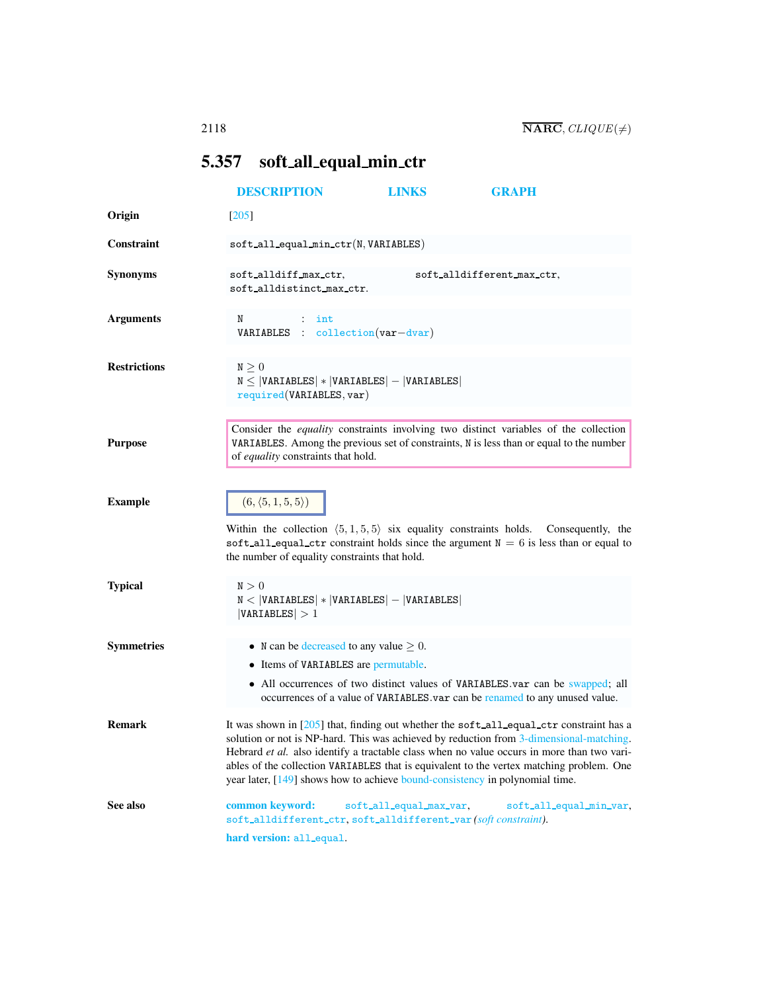## <span id="page-0-0"></span>5.357 soft all equal min ctr

<span id="page-0-1"></span>

|                     | <b>DESCRIPTION</b>                                                                                            | <b>LINKS</b>            | <b>GRAPH</b>                                                                                                                                                                                                                                                                                                                                                                 |
|---------------------|---------------------------------------------------------------------------------------------------------------|-------------------------|------------------------------------------------------------------------------------------------------------------------------------------------------------------------------------------------------------------------------------------------------------------------------------------------------------------------------------------------------------------------------|
| Origin              | $[205]$                                                                                                       |                         |                                                                                                                                                                                                                                                                                                                                                                              |
| Constraint          | $\texttt{soft}_\texttt{all}_\texttt{equal\_min}_\texttt{ctr(N, VARIABLES})$                                   |                         |                                                                                                                                                                                                                                                                                                                                                                              |
| <b>Synonyms</b>     | soft_alldiff_max_ctr,<br>soft_alldistinct_max_ctr.                                                            |                         | soft_alldifferent_max_ctr,                                                                                                                                                                                                                                                                                                                                                   |
| <b>Arguments</b>    | N<br>$:$ int<br>VARIABLES : collection(var-dvar)                                                              |                         |                                                                                                                                                                                                                                                                                                                                                                              |
| <b>Restrictions</b> | $N \geq 0$<br>$N \leq  VARIABLES  *  VARIABLES  -  VARIABLES $<br>required(VARIABLES, var)                    |                         |                                                                                                                                                                                                                                                                                                                                                                              |
| <b>Purpose</b>      | of equality constraints that hold.                                                                            |                         | Consider the equality constraints involving two distinct variables of the collection<br>VARIABLES. Among the previous set of constraints, N is less than or equal to the number                                                                                                                                                                                              |
| <b>Example</b>      | $(6, \langle 5, 1, 5, 5 \rangle)$<br>the number of equality constraints that hold.                            |                         | Within the collection $(5,1,5,5)$ six equality constraints holds. Consequently, the<br>soft_all_equal_ctr constraint holds since the argument $N = 6$ is less than or equal to                                                                                                                                                                                               |
| <b>Typical</b>      | $\texttt{N}>0$<br>$N <  VARTABLES  *  VARIABLES  -  VARIABLES $<br> VARIABLES  > 1                            |                         |                                                                                                                                                                                                                                                                                                                                                                              |
| <b>Symmetries</b>   | • N can be decreased to any value $\geq 0$ .<br>• Items of VARIABLES are permutable.                          |                         | • All occurrences of two distinct values of VARIABLES.var can be swapped; all<br>occurrences of a value of VARIABLES.var can be renamed to any unused value.                                                                                                                                                                                                                 |
| <b>Remark</b>       | year later, [149] shows how to achieve bound-consistency in polynomial time.                                  |                         | It was shown in [205] that, finding out whether the soft_all_equal_ctr constraint has a<br>solution or not is NP-hard. This was achieved by reduction from 3-dimensional-matching.<br>Hebrard et al. also identify a tractable class when no value occurs in more than two vari-<br>ables of the collection VARIABLES that is equivalent to the vertex matching problem. One |
| See also            | common keyword:<br>soft_alldifferent_ctr, soft_alldifferent_var(soft constraint).<br>hard version: all_equal. | soft_all_equal_max_var, | soft_all_equal_min_var,                                                                                                                                                                                                                                                                                                                                                      |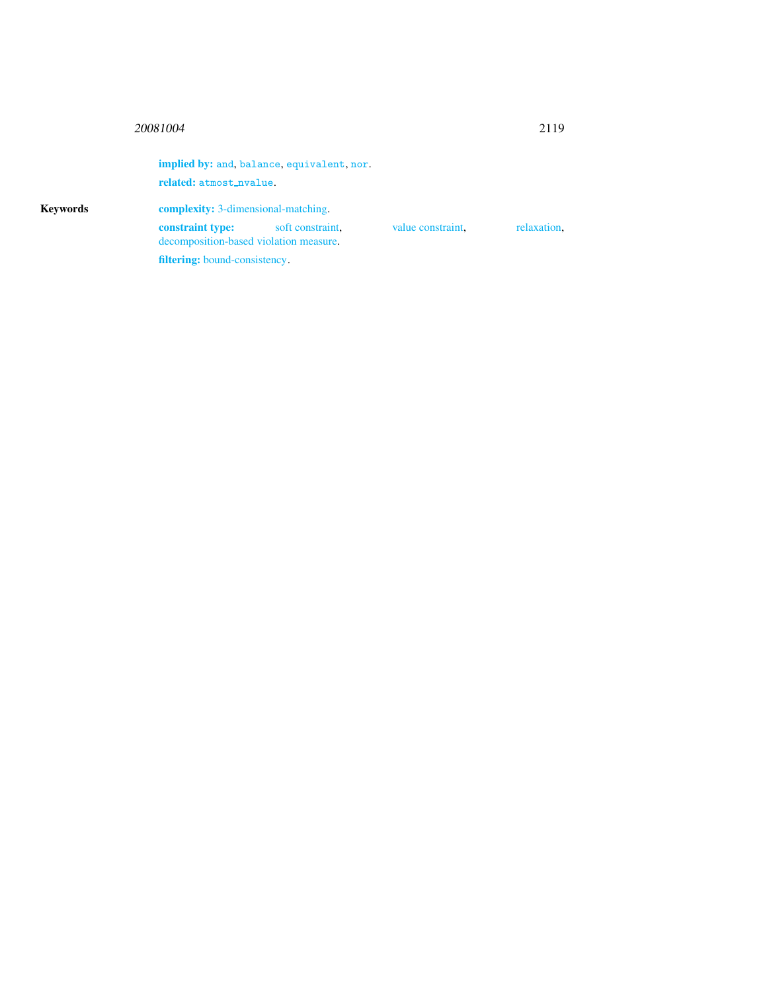## <sup>20081004</sup> 2119

Keywords

|                                                            | implied by: and, balance, equivalent, nor. |                   |             |
|------------------------------------------------------------|--------------------------------------------|-------------------|-------------|
| related: atmost_nvalue.                                    |                                            |                   |             |
| <b>complexity:</b> 3-dimensional-matching.                 |                                            |                   |             |
| constraint type:<br>decomposition-based violation measure. | soft constraint.                           | value constraint. | relaxation. |
| <b>filtering:</b> bound-consistency.                       |                                            |                   |             |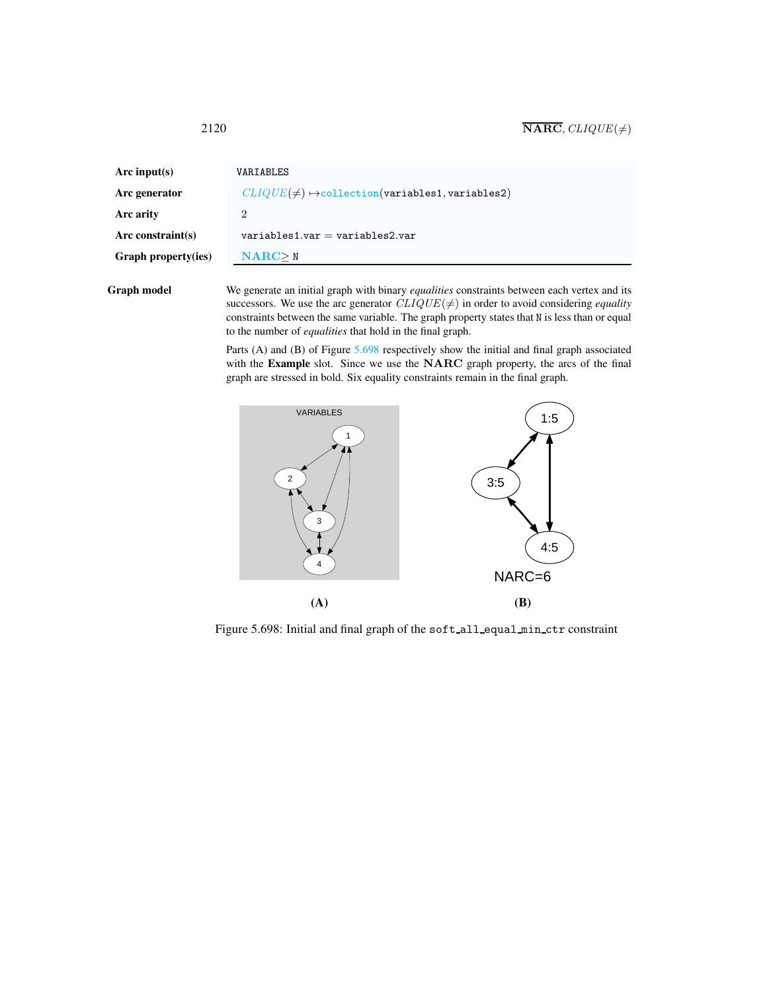<span id="page-2-0"></span>

| Arc input(s)         | VARIABLES                                                     |
|----------------------|---------------------------------------------------------------|
| Arc generator        | $CLIQUE(\neq) \rightarrow collection(variables1, variables2)$ |
| Arc arity            | 2                                                             |
| Arc constraint $(s)$ | $variable$ s1.var = variables2.var                            |
| Graph property(ies)  | NARC > N                                                      |
|                      |                                                               |

Graph model We generate an initial graph with binary *equalities* constraints between each vertex and its successors. We use the arc generator  $CLIQUE(\neq)$  in order to avoid considering *equality* constraints between the same variable. The graph property states that N is less than or equal to the number of *equalities* that hold in the final graph.

> Parts (A) and (B) of Figure  $5.698$  respectively show the initial and final graph associated with the Example slot. Since we use the NARC graph property, the arcs of the final graph are stressed in bold. Six equality constraints remain in the final graph.



<span id="page-2-1"></span>Figure 5.698: Initial and final graph of the soft\_all\_equal\_min\_ctr constraint